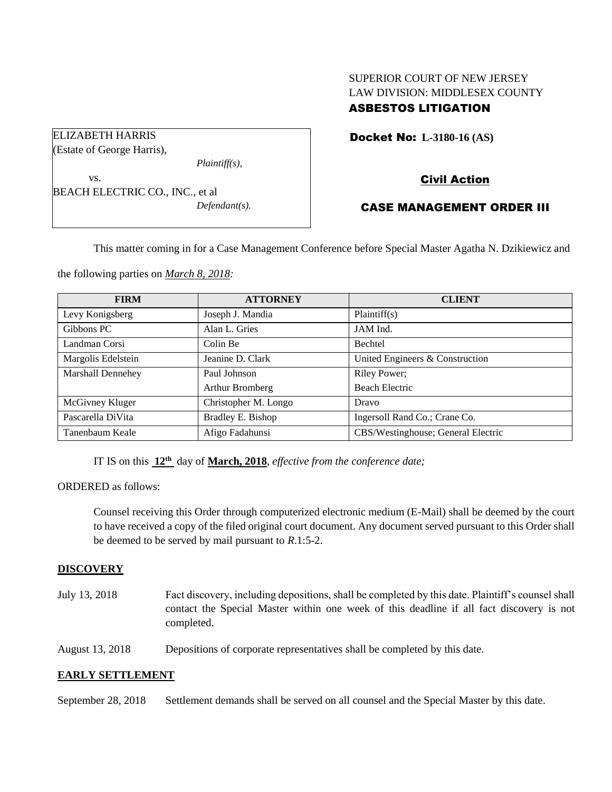# SUPERIOR COURT OF NEW JERSEY LAW DIVISION: MIDDLESEX COUNTY ASBESTOS LITIGATION

Docket No: **L-3180-16 (AS)** 

Civil Action

## CASE MANAGEMENT ORDER III

This matter coming in for a Case Management Conference before Special Master Agatha N. Dzikiewicz and

the following parties on *March 8, 2018:*

| <b>FIRM</b>        | <b>ATTORNEY</b>      | <b>CLIENT</b>                      |
|--------------------|----------------------|------------------------------------|
| Levy Konigsberg    | Joseph J. Mandia     | Plaintiff(s)                       |
| Gibbons PC         | Alan L. Gries        | JAM Ind.                           |
| Landman Corsi      | Colin Be             | Bechtel                            |
| Margolis Edelstein | Jeanine D. Clark     | United Engineers & Construction    |
| Marshall Dennehey  | Paul Johnson         | <b>Riley Power;</b>                |
|                    | Arthur Bromberg      | Beach Electric                     |
| McGivney Kluger    | Christopher M. Longo | Dravo                              |
| Pascarella DiVita  | Bradley E. Bishop    | Ingersoll Rand Co.; Crane Co.      |
| Tanenbaum Keale    | Afigo Fadahunsi      | CBS/Westinghouse; General Electric |

IT IS on this **12th** day of **March, 2018**, *effective from the conference date;*

ORDERED as follows:

Counsel receiving this Order through computerized electronic medium (E-Mail) shall be deemed by the court to have received a copy of the filed original court document. Any document served pursuant to this Order shall be deemed to be served by mail pursuant to *R*.1:5-2.

## **DISCOVERY**

July 13, 2018 Fact discovery, including depositions, shall be completed by this date. Plaintiff's counsel shall contact the Special Master within one week of this deadline if all fact discovery is not completed.

August 13, 2018 Depositions of corporate representatives shall be completed by this date.

#### **EARLY SETTLEMENT**

September 28, 2018 Settlement demands shall be served on all counsel and the Special Master by this date.

(Estate of George Harris), *Plaintiff(s),* vs. BEACH ELECTRIC CO., INC., et al

ELIZABETH HARRIS

*Defendant(s).*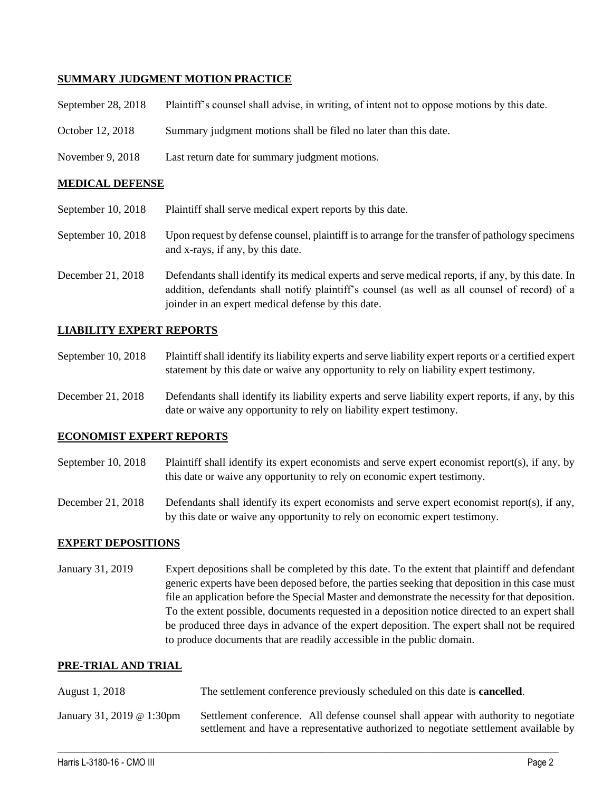### **SUMMARY JUDGMENT MOTION PRACTICE**

| September 28, 2018     | Plaintiff's counsel shall advise, in writing, of intent not to oppose motions by this date. |  |
|------------------------|---------------------------------------------------------------------------------------------|--|
| October 12, 2018       | Summary judgment motions shall be filed no later than this date.                            |  |
| November 9, 2018       | Last return date for summary judgment motions.                                              |  |
| <b>MEDICAL DEFENSE</b> |                                                                                             |  |
|                        |                                                                                             |  |

- September 10, 2018 Plaintiff shall serve medical expert reports by this date.
- September 10, 2018 Upon request by defense counsel, plaintiff is to arrange for the transfer of pathology specimens and x-rays, if any, by this date.
- December 21, 2018 Defendants shall identify its medical experts and serve medical reports, if any, by this date. In addition, defendants shall notify plaintiff's counsel (as well as all counsel of record) of a joinder in an expert medical defense by this date.

### **LIABILITY EXPERT REPORTS**

September 10, 2018 Plaintiff shall identify its liability experts and serve liability expert reports or a certified expert statement by this date or waive any opportunity to rely on liability expert testimony.

December 21, 2018 Defendants shall identify its liability experts and serve liability expert reports, if any, by this date or waive any opportunity to rely on liability expert testimony.

#### **ECONOMIST EXPERT REPORTS**

September 10, 2018 Plaintiff shall identify its expert economists and serve expert economist report(s), if any, by this date or waive any opportunity to rely on economic expert testimony.

December 21, 2018 Defendants shall identify its expert economists and serve expert economist report(s), if any, by this date or waive any opportunity to rely on economic expert testimony.

#### **EXPERT DEPOSITIONS**

January 31, 2019 Expert depositions shall be completed by this date. To the extent that plaintiff and defendant generic experts have been deposed before, the parties seeking that deposition in this case must file an application before the Special Master and demonstrate the necessity for that deposition. To the extent possible, documents requested in a deposition notice directed to an expert shall be produced three days in advance of the expert deposition. The expert shall not be required to produce documents that are readily accessible in the public domain.

#### **PRE-TRIAL AND TRIAL**

| August 1, 2018            | The settlement conference previously scheduled on this date is <b>cancelled</b> .                                                                                           |  |
|---------------------------|-----------------------------------------------------------------------------------------------------------------------------------------------------------------------------|--|
| January 31, 2019 @ 1:30pm | Settlement conference. All defense counsel shall appear with authority to negotiate<br>settlement and have a representative authorized to negotiate settlement available by |  |

 $\_$  ,  $\_$  ,  $\_$  ,  $\_$  ,  $\_$  ,  $\_$  ,  $\_$  ,  $\_$  ,  $\_$  ,  $\_$  ,  $\_$  ,  $\_$  ,  $\_$  ,  $\_$  ,  $\_$  ,  $\_$  ,  $\_$  ,  $\_$  ,  $\_$  ,  $\_$  ,  $\_$  ,  $\_$  ,  $\_$  ,  $\_$  ,  $\_$  ,  $\_$  ,  $\_$  ,  $\_$  ,  $\_$  ,  $\_$  ,  $\_$  ,  $\_$  ,  $\_$  ,  $\_$  ,  $\_$  ,  $\_$  ,  $\_$  ,